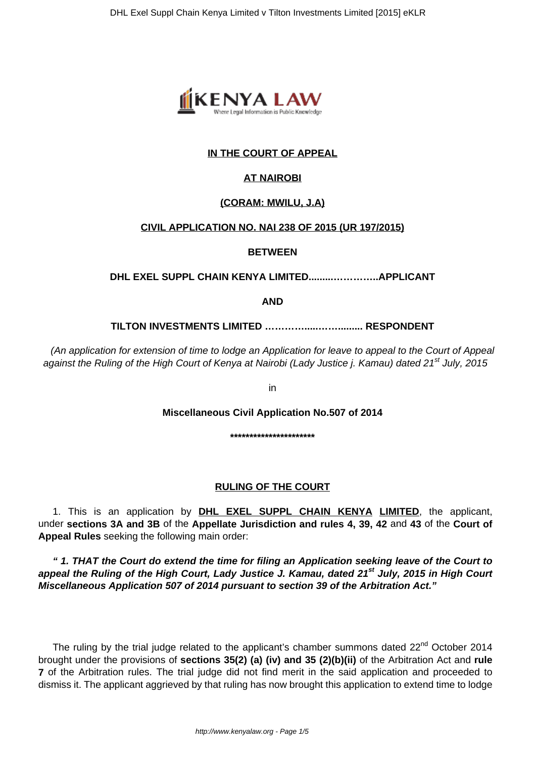

# **IN THE COURT OF APPEAL**

# **AT NAIROBI**

## **(CORAM: MWILU, J.A)**

## **CIVIL APPLICATION NO. NAI 238 OF 2015 (UR 197/2015)**

### **BETWEEN**

### **DHL EXEL SUPPL CHAIN KENYA LIMITED.........…………..APPLICANT**

**AND**

**TILTON INVESTMENTS LIMITED ………….....……......... RESPONDENT**

(An application for extension of time to lodge an Application for leave to appeal to the Court of Appeal against the Ruling of the High Court of Kenya at Nairobi (Lady Justice i. Kamau) dated 21<sup>st</sup> July. 2015

in

**Miscellaneous Civil Application No.507 of 2014**

**\*\*\*\*\*\*\*\*\*\*\*\*\*\*\*\*\*\*\*\*\*\***

### **RULING OF THE COURT**

1. This is an application by **DHL EXEL SUPPL CHAIN KENYA LIMITED**, the applicant, under **sections 3A and 3B** of the **Appellate Jurisdiction and rules 4, 39, 42** and **43** of the **Court of Appeal Rules** seeking the following main order:

**" 1. THAT the Court do extend the time for filing an Application seeking leave of the Court to appeal the Ruling of the High Court, Lady Justice J. Kamau, dated 21st July, 2015 in High Court Miscellaneous Application 507 of 2014 pursuant to section 39 of the Arbitration Act."**

The ruling by the trial judge related to the applicant's chamber summons dated 22<sup>nd</sup> October 2014 brought under the provisions of **sections 35(2) (a) (iv) and 35 (2)(b)(ii)** of the Arbitration Act and **rule 7** of the Arbitration rules. The trial judge did not find merit in the said application and proceeded to dismiss it. The applicant aggrieved by that ruling has now brought this application to extend time to lodge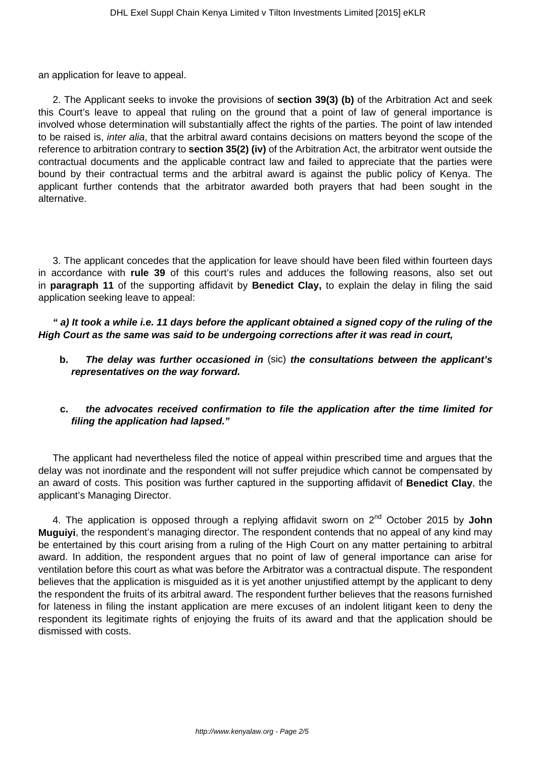an application for leave to appeal.

2. The Applicant seeks to invoke the provisions of **section 39(3) (b)** of the Arbitration Act and seek this Court's leave to appeal that ruling on the ground that a point of law of general importance is involved whose determination will substantially affect the rights of the parties. The point of law intended to be raised is, inter alia, that the arbitral award contains decisions on matters beyond the scope of the reference to arbitration contrary to **section 35(2) (iv)** of the Arbitration Act, the arbitrator went outside the contractual documents and the applicable contract law and failed to appreciate that the parties were bound by their contractual terms and the arbitral award is against the public policy of Kenya. The applicant further contends that the arbitrator awarded both prayers that had been sought in the alternative.

3. The applicant concedes that the application for leave should have been filed within fourteen days in accordance with **rule 39** of this court's rules and adduces the following reasons, also set out in **paragraph 11** of the supporting affidavit by **Benedict Clay,** to explain the delay in filing the said application seeking leave to appeal:

**" a) It took a while i.e. 11 days before the applicant obtained a signed copy of the ruling of the High Court as the same was said to be undergoing corrections after it was read in court,**

- **b. The delay was further occasioned in** (sic) **the consultations between the applicant's representatives on the way forward.**
- **c. the advocates received confirmation to file the application after the time limited for filing the application had lapsed."**

The applicant had nevertheless filed the notice of appeal within prescribed time and argues that the delay was not inordinate and the respondent will not suffer prejudice which cannot be compensated by an award of costs. This position was further captured in the supporting affidavit of **Benedict Clay**, the applicant's Managing Director.

4. The application is opposed through a replying affidavit sworn on 2nd October 2015 by **John Muguiyi**, the respondent's managing director. The respondent contends that no appeal of any kind may be entertained by this court arising from a ruling of the High Court on any matter pertaining to arbitral award. In addition, the respondent argues that no point of law of general importance can arise for ventilation before this court as what was before the Arbitrator was a contractual dispute. The respondent believes that the application is misguided as it is yet another unjustified attempt by the applicant to deny the respondent the fruits of its arbitral award. The respondent further believes that the reasons furnished for lateness in filing the instant application are mere excuses of an indolent litigant keen to deny the respondent its legitimate rights of enjoying the fruits of its award and that the application should be dismissed with costs.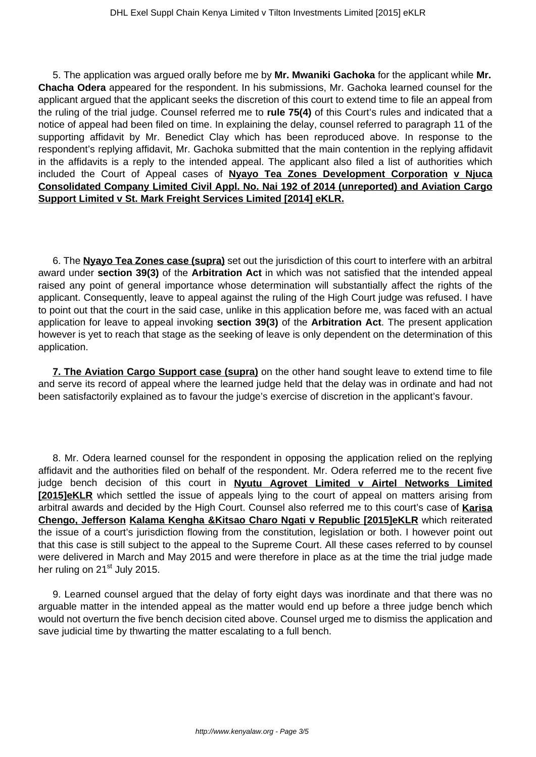5. The application was argued orally before me by **Mr. Mwaniki Gachoka** for the applicant while **Mr. Chacha Odera** appeared for the respondent. In his submissions, Mr. Gachoka learned counsel for the applicant argued that the applicant seeks the discretion of this court to extend time to file an appeal from the ruling of the trial judge. Counsel referred me to **rule 75(4)** of this Court's rules and indicated that a notice of appeal had been filed on time. In explaining the delay, counsel referred to paragraph 11 of the supporting affidavit by Mr. Benedict Clay which has been reproduced above. In response to the respondent's replying affidavit, Mr. Gachoka submitted that the main contention in the replying affidavit in the affidavits is a reply to the intended appeal. The applicant also filed a list of authorities which included the Court of Appeal cases of **Nyayo Tea Zones Development Corporation v Njuca Consolidated Company Limited Civil Appl. No. Nai 192 of 2014 (unreported) and Aviation Cargo Support Limited v St. Mark Freight Services Limited [2014] eKLR.**

6. The **Nyayo Tea Zones case (supra)** set out the jurisdiction of this court to interfere with an arbitral award under **section 39(3)** of the **Arbitration Act** in which was not satisfied that the intended appeal raised any point of general importance whose determination will substantially affect the rights of the applicant. Consequently, leave to appeal against the ruling of the High Court judge was refused. I have to point out that the court in the said case, unlike in this application before me, was faced with an actual application for leave to appeal invoking **section 39(3)** of the **Arbitration Act**. The present application however is yet to reach that stage as the seeking of leave is only dependent on the determination of this application.

**7. The Aviation Cargo Support case (supra)** on the other hand sought leave to extend time to file and serve its record of appeal where the learned judge held that the delay was in ordinate and had not been satisfactorily explained as to favour the judge's exercise of discretion in the applicant's favour.

8. Mr. Odera learned counsel for the respondent in opposing the application relied on the replying affidavit and the authorities filed on behalf of the respondent. Mr. Odera referred me to the recent five judge bench decision of this court in **Nyutu Agrovet Limited v Airtel Networks Limited [2015]eKLR** which settled the issue of appeals lying to the court of appeal on matters arising from arbitral awards and decided by the High Court. Counsel also referred me to this court's case of **Karisa Chengo, Jefferson Kalama Kengha &Kitsao Charo Ngati v Republic [2015]eKLR** which reiterated the issue of a court's jurisdiction flowing from the constitution, legislation or both. I however point out that this case is still subject to the appeal to the Supreme Court. All these cases referred to by counsel were delivered in March and May 2015 and were therefore in place as at the time the trial judge made her ruling on  $21<sup>st</sup>$  July 2015.

9. Learned counsel argued that the delay of forty eight days was inordinate and that there was no arguable matter in the intended appeal as the matter would end up before a three judge bench which would not overturn the five bench decision cited above. Counsel urged me to dismiss the application and save judicial time by thwarting the matter escalating to a full bench.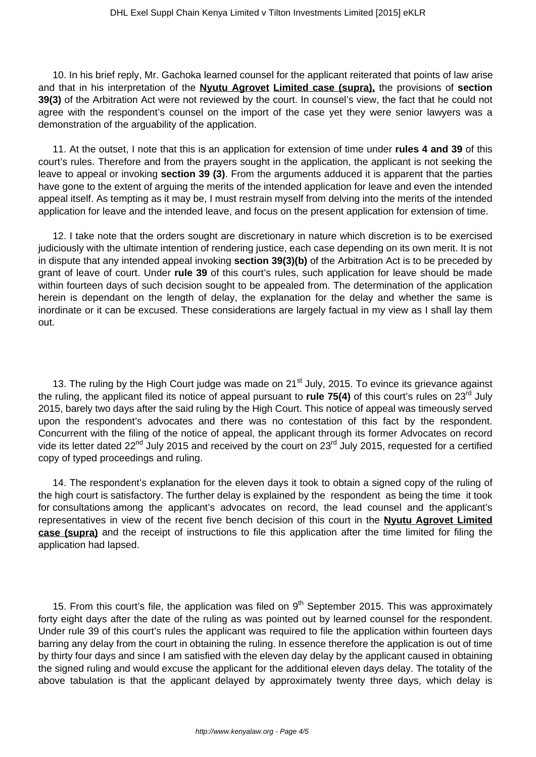10. In his brief reply, Mr. Gachoka learned counsel for the applicant reiterated that points of law arise and that in his interpretation of the **Nyutu Agrovet Limited case (supra),** the provisions of **section 39(3)** of the Arbitration Act were not reviewed by the court. In counsel's view, the fact that he could not agree with the respondent's counsel on the import of the case yet they were senior lawyers was a demonstration of the arguability of the application.

11. At the outset, I note that this is an application for extension of time under **rules 4 and 39** of this court's rules. Therefore and from the prayers sought in the application, the applicant is not seeking the leave to appeal or invoking **section 39 (3)**. From the arguments adduced it is apparent that the parties have gone to the extent of arguing the merits of the intended application for leave and even the intended appeal itself. As tempting as it may be, I must restrain myself from delving into the merits of the intended application for leave and the intended leave, and focus on the present application for extension of time.

12. I take note that the orders sought are discretionary in nature which discretion is to be exercised judiciously with the ultimate intention of rendering justice, each case depending on its own merit. It is not in dispute that any intended appeal invoking **section 39(3)(b)** of the Arbitration Act is to be preceded by grant of leave of court. Under **rule 39** of this court's rules, such application for leave should be made within fourteen days of such decision sought to be appealed from. The determination of the application herein is dependant on the length of delay, the explanation for the delay and whether the same is inordinate or it can be excused. These considerations are largely factual in my view as I shall lay them out.

13. The ruling by the High Court judge was made on 21<sup>st</sup> July, 2015. To evince its grievance against the ruling, the applicant filed its notice of appeal pursuant to **rule 75(4)** of this court's rules on 23rd July 2015, barely two days after the said ruling by the High Court. This notice of appeal was timeously served upon the respondent's advocates and there was no contestation of this fact by the respondent. Concurrent with the filing of the notice of appeal, the applicant through its former Advocates on record vide its letter dated 22<sup>nd</sup> July 2015 and received by the court on 23<sup>rd</sup> July 2015, requested for a certified copy of typed proceedings and ruling.

14. The respondent's explanation for the eleven days it took to obtain a signed copy of the ruling of the high court is satisfactory. The further delay is explained by the respondent as being the time it took for consultations among the applicant's advocates on record, the lead counsel and the applicant's representatives in view of the recent five bench decision of this court in the **Nyutu Agrovet Limited case (supra)** and the receipt of instructions to file this application after the time limited for filing the application had lapsed.

15. From this court's file, the application was filed on  $9<sup>th</sup>$  September 2015. This was approximately forty eight days after the date of the ruling as was pointed out by learned counsel for the respondent. Under rule 39 of this court's rules the applicant was required to file the application within fourteen days barring any delay from the court in obtaining the ruling. In essence therefore the application is out of time by thirty four days and since I am satisfied with the eleven day delay by the applicant caused in obtaining the signed ruling and would excuse the applicant for the additional eleven days delay. The totality of the above tabulation is that the applicant delayed by approximately twenty three days, which delay is